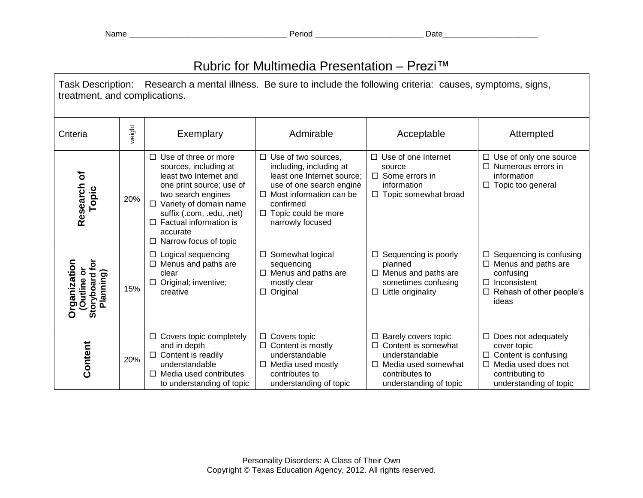| Name | erioc         | Jatu |
|------|---------------|------|
|      | $\sim$ $\sim$ |      |

## Rubric for Multimedia Presentation – Prezi™

Task Description: Research a mental illness. Be sure to include the following criteria: causes, symptoms, signs, treatment, and complications.

| Criteria                                                         | weight | Exemplary                                                                                                                                                                                                                                                             | Admirable                                                                                                                                                                                                   | Acceptable                                                                                                                                              | Attempted                                                                                                                                             |
|------------------------------------------------------------------|--------|-----------------------------------------------------------------------------------------------------------------------------------------------------------------------------------------------------------------------------------------------------------------------|-------------------------------------------------------------------------------------------------------------------------------------------------------------------------------------------------------------|---------------------------------------------------------------------------------------------------------------------------------------------------------|-------------------------------------------------------------------------------------------------------------------------------------------------------|
| ð<br>Research<br>Topic                                           | 20%    | $\Box$ Use of three or more<br>sources, including at<br>least two Internet and<br>one print source; use of<br>two search engines<br>Variety of domain name<br>suffix (.com, .edu, .net)<br>Factual information is<br>ப<br>accurate<br>Narrow focus of topic<br>$\Box$ | $\Box$ Use of two sources,<br>including, including at<br>least one Internet source;<br>use of one search engine<br>$\Box$ Most information can be<br>confirmed<br>□ Topic could be more<br>narrowly focused | $\Box$ Use of one Internet<br>source<br>$\Box$ Some errors in<br>information<br>$\Box$ Topic somewhat broad                                             | $\Box$ Use of only one source<br>Numerous errors in<br>information<br>Topic too general<br>$\Box$                                                     |
| rganization<br>ក<br>۰<br>Planning<br>Storyboard<br>(Outline<br>n | 15%    | Logical sequencing<br>$\Box$<br>Menus and paths are<br>□<br>clear<br>Original; inventive;<br>$\Box$<br>creative                                                                                                                                                       | Somewhat logical<br>□<br>sequencing<br>$\Box$ Menus and paths are<br>mostly clear<br>Original<br>$\Box$                                                                                                     | $\Box$ Sequencing is poorly<br>planned<br>$\Box$ Menus and paths are<br>sometimes confusing<br>$\Box$ Little originality                                | Sequencing is confusing<br>Menus and paths are<br>□<br>confusing<br>Inconsistent<br>П.<br>Rehash of other people's<br>ideas                           |
| Content                                                          | 20%    | $\Box$ Covers topic completely<br>and in depth<br>Content is readily<br>understandable<br>Media used contributes<br>to understanding of topic                                                                                                                         | Covers topic<br>$\Box$<br>Content is mostly<br>$\Box$<br>understandable<br>$\Box$ Media used mostly<br>contributes to<br>understanding of topic                                                             | Barely covers topic<br>$\Box$<br>$\Box$ Content is somewhat<br>understandable<br>$\Box$ Media used somewhat<br>contributes to<br>understanding of topic | Does not adequately<br>$\Box$<br>cover topic<br>$\Box$ Content is confusing<br>Media used does not<br>П.<br>contributing to<br>understanding of topic |